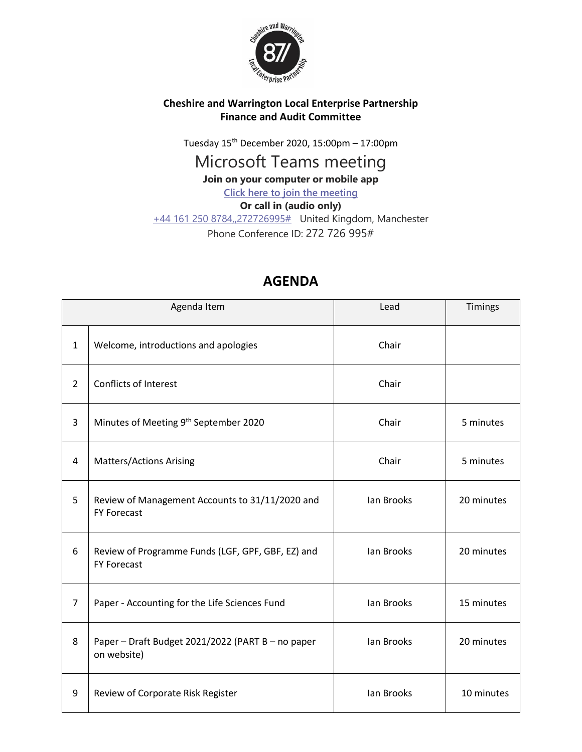

## **Cheshire and Warrington Local Enterprise Partnership Finance and Audit Committee**

Tuesday 15th December 2020, 15:00pm – 17:00pm

## Microsoft Teams meeting

**Join on your computer or mobile app**

**[Click here to join the meeting](https://teams.microsoft.com/l/meetup-join/19%3ameeting_ZDMzMDBhMWMtYjc0OC00NzIxLTg1YmItYTc4ZWExNzY5OTQ2%40thread.v2/0?context=%7b%22Tid%22%3a%229fdc30f0-07e8-4ece-96e4-5daef8d479d1%22%2c%22Oid%22%3a%2210048e38-4d2c-454f-88cf-2b878c148880%22%7d)**

**Or call in (audio only)**

[+44 161 250 8784,,272726995#](tel:+441612508784,,272726995# ) United Kingdom, Manchester Phone Conference ID: 272 726 995#

| Agenda Item    |                                                                         | Lead       | <b>Timings</b> |
|----------------|-------------------------------------------------------------------------|------------|----------------|
| $\mathbf{1}$   | Welcome, introductions and apologies                                    | Chair      |                |
| $\overline{2}$ | <b>Conflicts of Interest</b>                                            | Chair      |                |
| 3              | Minutes of Meeting 9th September 2020                                   | Chair      | 5 minutes      |
| 4              | <b>Matters/Actions Arising</b>                                          | Chair      | 5 minutes      |
| 5              | Review of Management Accounts to 31/11/2020 and<br><b>FY Forecast</b>   | lan Brooks | 20 minutes     |
| 6              | Review of Programme Funds (LGF, GPF, GBF, EZ) and<br><b>FY Forecast</b> | lan Brooks | 20 minutes     |
| $\overline{7}$ | Paper - Accounting for the Life Sciences Fund                           | lan Brooks | 15 minutes     |
| 8              | Paper - Draft Budget 2021/2022 (PART B - no paper<br>on website)        | lan Brooks | 20 minutes     |
| 9              | Review of Corporate Risk Register                                       | lan Brooks | 10 minutes     |

## **AGENDA**